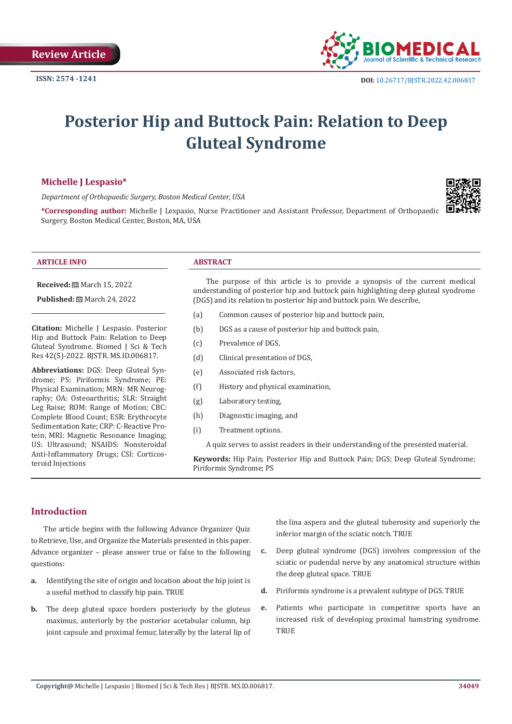

# **Posterior Hip and Buttock Pain: Relation to Deep Gluteal Syndrome**

# **Michelle J Lespasio\***

*Department of Orthopaedic Surgery, Boston Medical Center, USA*



**\*Corresponding author:** Michelle J Lespasio, Nurse Practitioner and Assistant Professor, Department of Orthopaedic Surgery, Boston Medical Center, Boston, MA, USA

#### **ARTICLE INFO ABSTRACT**

**Received:** ■ March 15, 2022

**Published:** 圖 March 24, 2022

**Citation:** Michelle J Lespasio. Posterior Hip and Buttock Pain: Relation to Deep Gluteal Syndrome. Biomed J Sci & Tech Res 42(5)-2022. BJSTR. MS.ID.006817.

**Abbreviations:** DGS: Deep Gluteal Syndrome; PS: Piriformis Syndrome; PE: Physical Examination; MRN: MR Neurography; OA: Osteoarthritis; SLR: Straight Leg Raise; ROM: Range of Motion; CBC: Complete Blood Count; ESR: Erythrocyte Sedimentation Rate; CRP: C-Reactive Protein; MRI: Magnetic Resonance Imaging; US: Ultrasound; NSAIDS: Nonsteroidal Anti-Inflammatory Drugs; CSI: Corticosteroid Injections

The purpose of this article is to provide a synopsis of the current medical understanding of posterior hip and buttock pain highlighting deep gluteal syndrome (DGS) and its relation to posterior hip and buttock pain. We describe,

- (a) Common causes of posterior hip and buttock pain,
- (b) DGS as a cause of posterior hip and buttock pain,
- (c) Prevalence of DGS,
- (d) Clinical presentation of DGS,
- (e) Associated risk factors,
- (f) History and physical examination,
- (g) Laboratory testing,
- (h) Diagnostic imaging, and
- (i) Treatment options.

A quiz serves to assist readers in their understanding of the presented material.

**Keywords:** Hip Pain; Posterior Hip and Buttock Pain; DGS; Deep Gluteal Syndrome; Piriformis Syndrome; PS

# **Introduction**

The article begins with the following Advance Organizer Quiz to Retrieve, Use, and Organize the Materials presented in this paper. Advance organizer – please answer true or false to the following questions:

- **a.** Identifying the site of origin and location about the hip joint is a useful method to classify hip pain. TRUE
- **b.** The deep gluteal space borders posteriorly by the gluteus maximus, anteriorly by the posterior acetabular column, hip joint capsule and proximal femur, laterally by the lateral lip of

the lina aspera and the gluteal tuberosity and superiorly the inferior margin of the sciatic notch. TRUE

- **c.** Deep gluteal syndrome (DGS) involves compression of the sciatic or pudendal nerve by any anatomical structure within the deep gluteal space. TRUE
- **d.** Piriformis syndrome is a prevalent subtype of DGS. TRUE
- **e.** Patients who participate in competitive sports have an increased risk of developing proximal hamstring syndrome. **TRUE**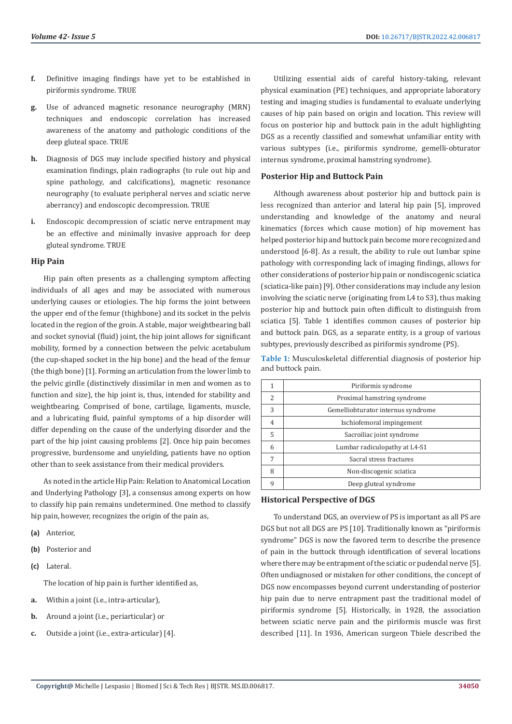- **f.** Definitive imaging findings have yet to be established in piriformis syndrome. TRUE
- **g.** Use of advanced magnetic resonance neurography (MRN) techniques and endoscopic correlation has increased awareness of the anatomy and pathologic conditions of the deep gluteal space. TRUE
- **h.** Diagnosis of DGS may include specified history and physical examination findings, plain radiographs (to rule out hip and spine pathology, and calcifications), magnetic resonance neurography (to evaluate peripheral nerves and sciatic nerve aberrancy) and endoscopic decompression. TRUE
- **i.** Endoscopic decompression of sciatic nerve entrapment may be an effective and minimally invasive approach for deep gluteal syndrome. TRUE

# **Hip Pain**

Hip pain often presents as a challenging symptom affecting individuals of all ages and may be associated with numerous underlying causes or etiologies. The hip forms the joint between the upper end of the femur (thighbone) and its socket in the pelvis located in the region of the groin. A stable, major weightbearing ball and socket synovial (fluid) joint, the hip joint allows for significant mobility, formed by a connection between the pelvic acetabulum (the cup-shaped socket in the hip bone) and the head of the femur (the thigh bone) [1]. Forming an articulation from the lower limb to the pelvic girdle (distinctively dissimilar in men and women as to function and size), the hip joint is, thus, intended for stability and weightbearing. Comprised of bone, cartilage, ligaments, muscle, and a lubricating fluid, painful symptoms of a hip disorder will differ depending on the cause of the underlying disorder and the part of the hip joint causing problems [2]. Once hip pain becomes progressive, burdensome and unyielding, patients have no option other than to seek assistance from their medical providers.

As noted in the article Hip Pain: Relation to Anatomical Location and Underlying Pathology [3], a consensus among experts on how to classify hip pain remains undetermined. One method to classify hip pain, however, recognizes the origin of the pain as,

- **(a)** Anterior,
- **(b)** Posterior and
- **(c)** Lateral.

The location of hip pain is further identified as,

- **a.** Within a joint (i.e., intra-articular),
- **b.** Around a joint (i.e., periarticular) or
- **c.** Outside a joint (i.e., extra-articular) [4].

Utilizing essential aids of careful history-taking, relevant physical examination (PE) techniques, and appropriate laboratory testing and imaging studies is fundamental to evaluate underlying causes of hip pain based on origin and location. This review will focus on posterior hip and buttock pain in the adult highlighting DGS as a recently classified and somewhat unfamiliar entity with various subtypes (i.e., piriformis syndrome, gemelli-obturator internus syndrome, proximal hamstring syndrome).

#### **Posterior Hip and Buttock Pain**

Although awareness about posterior hip and buttock pain is less recognized than anterior and lateral hip pain [5], improved understanding and knowledge of the anatomy and neural kinematics (forces which cause motion) of hip movement has helped posterior hip and buttock pain become more recognized and understood [6-8]. As a result, the ability to rule out lumbar spine pathology with corresponding lack of imaging findings, allows for other considerations of posterior hip pain or nondiscogenic sciatica (sciatica-like pain) [9]. Other considerations may include any lesion involving the sciatic nerve (originating from L4 to S3), thus making posterior hip and buttock pain often difficult to distinguish from sciatica [5]. Table 1 identifies common causes of posterior hip and buttock pain. DGS, as a separate entity, is a group of various subtypes, previously described as piriformis syndrome (PS).

**Table 1:** Musculoskeletal differential diagnosis of posterior hip and buttock pain.

|   | Piriformis syndrome                |
|---|------------------------------------|
| 2 | Proximal hamstring syndrome        |
| 3 | Gemelliobturator internus syndrome |
| 4 | Ischiofemoral impingement          |
| 5 | Sacroiliac joint syndrome          |
| 6 | Lumbar radiculopathy at L4-S1      |
| 7 | Sacral stress fractures            |
| 8 | Non-discogenic sciatica            |
| 9 | Deep gluteal syndrome              |

### **Historical Perspective of DGS**

To understand DGS, an overview of PS is important as all PS are DGS but not all DGS are PS [10]. Traditionally known as "piriformis syndrome" DGS is now the favored term to describe the presence of pain in the buttock through identification of several locations where there may be entrapment of the sciatic or pudendal nerve [5]. Often undiagnosed or mistaken for other conditions, the concept of DGS now encompasses beyond current understanding of posterior hip pain due to nerve entrapment past the traditional model of piriformis syndrome [5]. Historically, in 1928, the association between sciatic nerve pain and the piriformis muscle was first described [11]. In 1936, American surgeon Thiele described the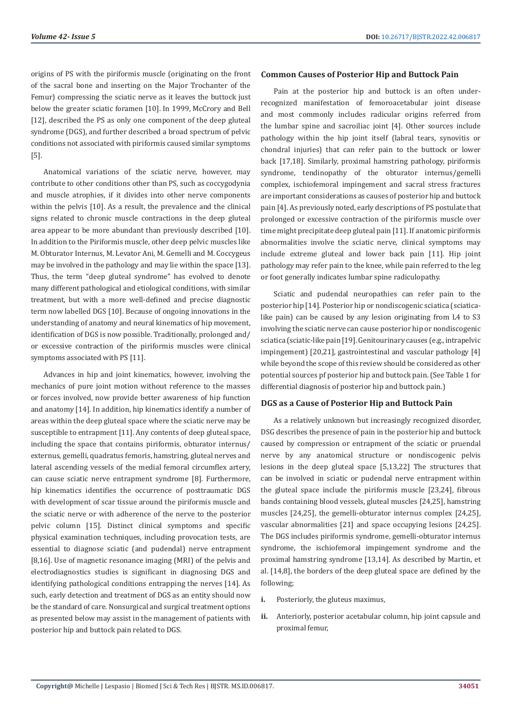origins of PS with the piriformis muscle (originating on the front of the sacral bone and inserting on the Major Trochanter of the Femur) compressing the sciatic nerve as it leaves the buttock just below the greater sciatic foramen [10]. In 1999, McCrory and Bell [12], described the PS as only one component of the deep gluteal syndrome (DGS), and further described a broad spectrum of pelvic conditions not associated with piriformis caused similar symptoms [5].

Anatomical variations of the sciatic nerve, however, may contribute to other conditions other than PS, such as coccygodynia and muscle atrophies, if it divides into other nerve components within the pelvis [10]. As a result, the prevalence and the clinical signs related to chronic muscle contractions in the deep gluteal area appear to be more abundant than previously described [10]. In addition to the Piriformis muscle, other deep pelvic muscles like M. Obturator Internus, M. Levator Ani, M. Gemelli and M. Coccygeus may be involved in the pathology and may lie within the space [13]. Thus, the term "deep gluteal syndrome" has evolved to denote many different pathological and etiological conditions, with similar treatment, but with a more well-defined and precise diagnostic term now labelled DGS [10]. Because of ongoing innovations in the understanding of anatomy and neural kinematics of hip movement, identification of DGS is now possible. Traditionally, prolonged and/ or excessive contraction of the piriformis muscles were clinical symptoms associated with PS [11].

Advances in hip and joint kinematics, however, involving the mechanics of pure joint motion without reference to the masses or forces involved, now provide better awareness of hip function and anatomy [14]. In addition, hip kinematics identify a number of areas within the deep gluteal space where the sciatic nerve may be susceptible to entrapment [11]. Any contents of deep gluteal space, including the space that contains piriformis, obturator internus/ externus, gemelli, quadratus femoris, hamstring, gluteal nerves and lateral ascending vessels of the medial femoral circumflex artery, can cause sciatic nerve entrapment syndrome [8]. Furthermore, hip kinematics identifies the occurrence of posttraumatic DGS with development of scar tissue around the piriformis muscle and the sciatic nerve or with adherence of the nerve to the posterior pelvic column [15]. Distinct clinical symptoms and specific physical examination techniques, including provocation tests, are essential to diagnose sciatic (and pudendal) nerve entrapment [8,16]. Use of magnetic resonance imaging (MRI) of the pelvis and electrodiagnostics studies is significant in diagnosing DGS and identifying pathological conditions entrapping the nerves [14]. As such, early detection and treatment of DGS as an entity should now be the standard of care. Nonsurgical and surgical treatment options as presented below may assist in the management of patients with posterior hip and buttock pain related to DGS.

#### **Common Causes of Posterior Hip and Buttock Pain**

Pain at the posterior hip and buttock is an often underrecognized manifestation of femoroacetabular joint disease and most commonly includes radicular origins referred from the lumbar spine and sacroiliac joint [4]. Other sources include pathology within the hip joint itself (labral tears, synovitis or chondral injuries) that can refer pain to the buttock or lower back [17,18]. Similarly, proximal hamstring pathology, piriformis syndrome, tendinopathy of the obturator internus/gemelli complex, ischiofemoral impingement and sacral stress fractures are important considerations as causes of posterior hip and buttock pain [4]. As previously noted, early descriptions of PS postulate that prolonged or excessive contraction of the piriformis muscle over time might precipitate deep gluteal pain [11]. If anatomic piriformis abnormalities involve the sciatic nerve, clinical symptoms may include extreme gluteal and lower back pain [11]. Hip joint pathology may refer pain to the knee, while pain referred to the leg or foot generally indicates lumbar spine radiculopathy.

Sciatic and pudendal neuropathies can refer pain to the posterior hip [14]. Posterior hip or nondiscogenic sciatica (sciaticalike pain) can be caused by any lesion originating from L4 to S3 involving the sciatic nerve can cause posterior hip or nondiscogenic sciatica (sciatic-like pain [19]. Genitourinary causes (e.g., intrapelvic impingement) [20,21], gastrointestinal and vascular pathology [4] while beyond the scope of this review should be considered as other potential sources pf posterior hip and buttock pain. (See Table 1 for differential diagnosis of posterior hip and buttock pain.)

#### **DGS as a Cause of Posterior Hip and Buttock Pain**

As a relatively unknown but increasingly recognized disorder, DSG describes the presence of pain in the posterior hip and buttock caused by compression or entrapment of the sciatic or pruendal nerve by any anatomical structure or nondiscogenic pelvis lesions in the deep gluteal space [5,13,22] The structures that can be involved in sciatic or pudendal nerve entrapment within the gluteal space include the piriformis muscle [23,24], fibrous bands containing blood vessels, gluteal muscles [24,25], hamstring muscles [24,25], the gemelli-obturator internus complex [24,25], vascular abnormalities [21] and space occupying lesions [24,25]. The DGS includes piriformis syndrome, gemelli-obturator internus syndrome, the ischiofemoral impingement syndrome and the proximal hamstring syndrome [13,14]. As described by Martin, et al. [14,8], the borders of the deep gluteal space are defined by the following;

- **i.** Posteriorly, the gluteus maximus,
- **ii.** Anteriorly, posterior acetabular column, hip joint capsule and proximal femur,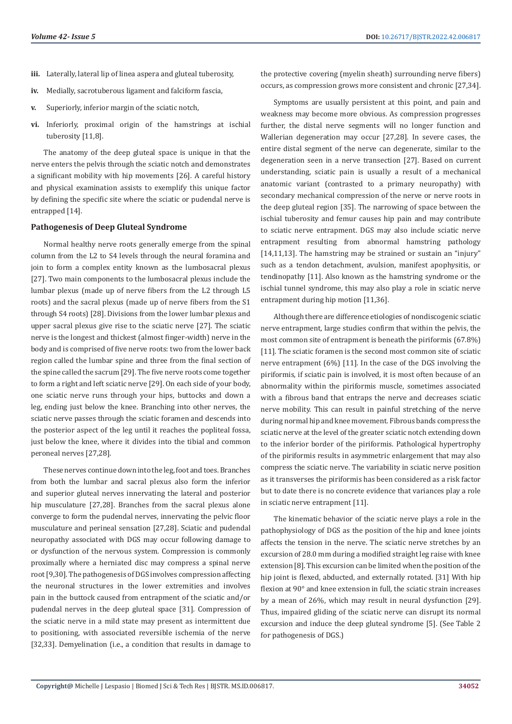- **iii.** Laterally, lateral lip of linea aspera and gluteal tuberosity,
- **iv.** Medially, sacrotuberous ligament and falciform fascia,
- **v.** Superiorly, inferior margin of the sciatic notch,
- **vi.** Inferiorly, proximal origin of the hamstrings at ischial tuberosity [11,8].

The anatomy of the deep gluteal space is unique in that the nerve enters the pelvis through the sciatic notch and demonstrates a significant mobility with hip movements [26]. A careful history and physical examination assists to exemplify this unique factor by defining the specific site where the sciatic or pudendal nerve is entrapped [14].

# **Pathogenesis of Deep Gluteal Syndrome**

Normal healthy nerve roots generally emerge from the spinal column from the L2 to S4 levels through the neural foramina and join to form a complex entity known as the lumbosacral plexus [27]. Two main components to the lumbosacral plexus include the lumbar plexus (made up of nerve fibers from the L2 through L5 roots) and the sacral plexus (made up of nerve fibers from the S1 through S4 roots) [28]. Divisions from the lower lumbar plexus and upper sacral plexus give rise to the sciatic nerve [27]. The sciatic nerve is the longest and thickest (almost finger-width) nerve in the body and is comprised of five nerve roots: two from the lower back region called the lumbar spine and three from the final section of the spine called the sacrum [29]. The five nerve roots come together to form a right and left sciatic nerve [29]. On each side of your body, one sciatic nerve runs through your hips, buttocks and down a leg, ending just below the knee. Branching into other nerves, the sciatic nerve passes through the sciatic foramen and descends into the posterior aspect of the leg until it reaches the popliteal fossa, just below the knee, where it divides into the tibial and common peroneal nerves [27,28].

These nerves continue down into the leg, foot and toes. Branches from both the lumbar and sacral plexus also form the inferior and superior gluteal nerves innervating the lateral and posterior hip musculature [27,28]. Branches from the sacral plexus alone converge to form the pudendal nerves, innervating the pelvic floor musculature and perineal sensation [27,28]. Sciatic and pudendal neuropathy associated with DGS may occur following damage to or dysfunction of the nervous system. Compression is commonly proximally where a herniated disc may compress a spinal nerve root [9,30]. The pathogenesis of DGS involves compression affecting the neuronal structures in the lower extremities and involves pain in the buttock caused from entrapment of the sciatic and/or pudendal nerves in the deep gluteal space [31]. Compression of the sciatic nerve in a mild state may present as intermittent due to positioning, with associated reversible ischemia of the nerve [32,33]. Demyelination (i.e., a condition that results in damage to

the protective covering (myelin sheath) surrounding nerve fibers) occurs, as compression grows more consistent and chronic [27,34].

Symptoms are usually persistent at this point, and pain and weakness may become more obvious. As compression progresses further, the distal nerve segments will no longer function and Wallerian degeneration may occur [27,28]. In severe cases, the entire distal segment of the nerve can degenerate, similar to the degeneration seen in a nerve transection [27]. Based on current understanding, sciatic pain is usually a result of a mechanical anatomic variant (contrasted to a primary neuropathy) with secondary mechanical compression of the nerve or nerve roots in the deep gluteal region [35]. The narrowing of space between the ischial tuberosity and femur causes hip pain and may contribute to sciatic nerve entrapment. DGS may also include sciatic nerve entrapment resulting from abnormal hamstring pathology [14,11,13]. The hamstring may be strained or sustain an "injury" such as a tendon detachment, avulsion, manifest apophysitis, or tendinopathy [11]. Also known as the hamstring syndrome or the ischial tunnel syndrome, this may also play a role in sciatic nerve entrapment during hip motion [11,36].

Although there are difference etiologies of nondiscogenic sciatic nerve entrapment, large studies confirm that within the pelvis, the most common site of entrapment is beneath the piriformis (67.8%) [11]. The sciatic foramen is the second most common site of sciatic nerve entrapment (6%) [11]. In the case of the DGS involving the piriformis, if sciatic pain is involved, it is most often because of an abnormality within the piriformis muscle, sometimes associated with a fibrous band that entraps the nerve and decreases sciatic nerve mobility. This can result in painful stretching of the nerve during normal hip and knee movement. Fibrous bands compress the sciatic nerve at the level of the greater sciatic notch extending down to the inferior border of the piriformis. Pathological hypertrophy of the piriformis results in asymmetric enlargement that may also compress the sciatic nerve. The variability in sciatic nerve position as it transverses the piriformis has been considered as a risk factor but to date there is no concrete evidence that variances play a role in sciatic nerve entrapment [11].

The kinematic behavior of the sciatic nerve plays a role in the pathophysiology of DGS as the position of the hip and knee joints affects the tension in the nerve. The sciatic nerve stretches by an excursion of 28.0 mm during a modified straight leg raise with knee extension [8]. This excursion can be limited when the position of the hip joint is flexed, abducted, and externally rotated. [31] With hip flexion at 90° and knee extension in full, the sciatic strain increases by a mean of 26%, which may result in neural dysfunction [29]. Thus, impaired gliding of the sciatic nerve can disrupt its normal excursion and induce the deep gluteal syndrome [5]. (See Table 2 for pathogenesis of DGS.)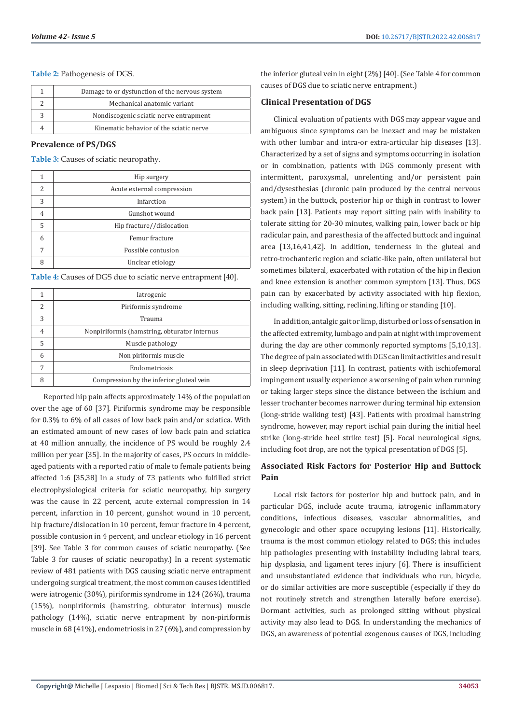#### **Table 2:** Pathogenesis of DGS.

| Damage to or dysfunction of the nervous system |
|------------------------------------------------|
| Mechanical anatomic variant                    |
| Nondiscogenic sciatic nerve entrapment         |
| Kinematic behavior of the sciatic nerve        |

#### **Prevalence of PS/DGS**

**Table 3:** Causes of sciatic neuropathy.

|   | Hip surgery                |
|---|----------------------------|
| 2 | Acute external compression |
| 3 | Infarction                 |
| 4 | Gunshot wound              |
| 5 | Hip fracture//dislocation  |
| 6 | Femur fracture             |
|   | Possible contusion         |
|   | Unclear etiology           |

**Table 4:** Causes of DGS due to sciatic nerve entrapment [40].

|   | <i>latrogenic</i>                            |
|---|----------------------------------------------|
| 2 | Piriformis syndrome                          |
| 3 | Trauma                                       |
|   | Nonpiriformis (hamstring, obturator internus |
| 5 | Muscle pathology                             |
| 6 | Non piriformis muscle                        |
|   | Endometriosis                                |
|   | Compression by the inferior gluteal vein     |

Reported hip pain affects approximately 14% of the population over the age of 60 [37]. Piriformis syndrome may be responsible for 0.3% to 6% of all cases of low back pain and/or sciatica. With an estimated amount of new cases of low back pain and sciatica at 40 million annually, the incidence of PS would be roughly 2.4 million per year [35]. In the majority of cases, PS occurs in middleaged patients with a reported ratio of male to female patients being affected 1:6 [35,38] In a study of 73 patients who fulfilled strict electrophysiological criteria for sciatic neuropathy, hip surgery was the cause in 22 percent, acute external compression in 14 percent, infarction in 10 percent, gunshot wound in 10 percent, hip fracture/dislocation in 10 percent, femur fracture in 4 percent, possible contusion in 4 percent, and unclear etiology in 16 percent [39]. See Table 3 for common causes of sciatic neuropathy. (See Table 3 for causes of sciatic neuropathy.) In a recent systematic review of 481 patients with DGS causing sciatic nerve entrapment undergoing surgical treatment, the most common causes identified were iatrogenic (30%), piriformis syndrome in 124 (26%), trauma (15%), nonpiriformis (hamstring, obturator internus) muscle pathology (14%), sciatic nerve entrapment by non-piriformis muscle in 68 (41%), endometriosis in 27 (6%), and compression by

the inferior gluteal vein in eight (2%) [40]. (See Table 4 for common causes of DGS due to sciatic nerve entrapment.)

#### **Clinical Presentation of DGS**

Clinical evaluation of patients with DGS may appear vague and ambiguous since symptoms can be inexact and may be mistaken with other lumbar and intra-or extra-articular hip diseases [13]. Characterized by a set of signs and symptoms occurring in isolation or in combination, patients with DGS commonly present with intermittent, paroxysmal, unrelenting and/or persistent pain and/dysesthesias (chronic pain produced by the central nervous system) in the buttock, posterior hip or thigh in contrast to lower back pain [13]. Patients may report sitting pain with inability to tolerate sitting for 20-30 minutes, walking pain, lower back or hip radicular pain, and paresthesia of the affected buttock and inguinal area [13,16,41,42]. In addition, tenderness in the gluteal and retro-trochanteric region and sciatic-like pain, often unilateral but sometimes bilateral, exacerbated with rotation of the hip in flexion and knee extension is another common symptom [13]. Thus, DGS pain can by exacerbated by activity associated with hip flexion, including walking, sitting, reclining, lifting or standing [10].

In addition, antalgic gait or limp, disturbed or loss of sensation in the affected extremity, lumbago and pain at night with improvement during the day are other commonly reported symptoms [5,10,13]. The degree of pain associated with DGS can limit activities and result in sleep deprivation [11]. In contrast, patients with ischiofemoral impingement usually experience a worsening of pain when running or taking larger steps since the distance between the ischium and lesser trochanter becomes narrower during terminal hip extension (long-stride walking test) [43]. Patients with proximal hamstring syndrome, however, may report ischial pain during the initial heel strike (long-stride heel strike test) [5]. Focal neurological signs, including foot drop, are not the typical presentation of DGS [5].

# **Associated Risk Factors for Posterior Hip and Buttock Pain**

Local risk factors for posterior hip and buttock pain, and in particular DGS, include acute trauma, iatrogenic inflammatory conditions, infectious diseases, vascular abnormalities, and gynecologic and other space occupying lesions [11]. Historically, trauma is the most common etiology related to DGS; this includes hip pathologies presenting with instability including labral tears, hip dysplasia, and ligament teres injury [6]. There is insufficient and unsubstantiated evidence that individuals who run, bicycle, or do similar activities are more susceptible (especially if they do not routinely stretch and strengthen laterally before exercise). Dormant activities, such as prolonged sitting without physical activity may also lead to DGS. In understanding the mechanics of DGS, an awareness of potential exogenous causes of DGS, including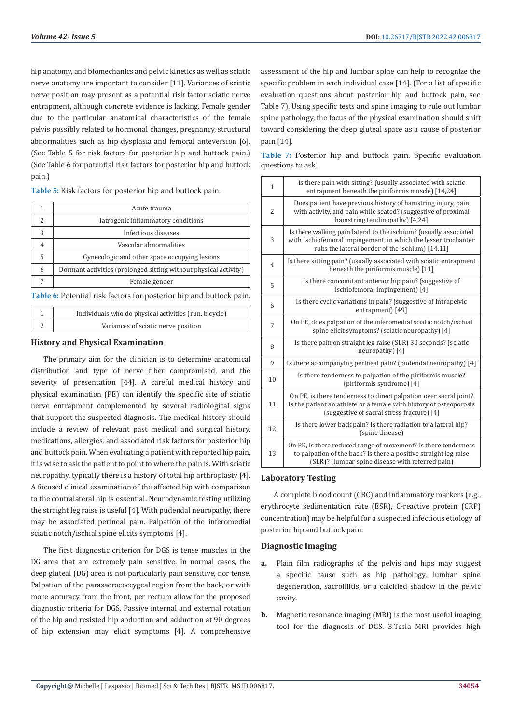hip anatomy, and biomechanics and pelvic kinetics as well as sciatic nerve anatomy are important to consider [11]. Variances of sciatic nerve position may present as a potential risk factor sciatic nerve entrapment, although concrete evidence is lacking. Female gender due to the particular anatomical characteristics of the female pelvis possibly related to hormonal changes, pregnancy, structural abnormalities such as hip dysplasia and femoral anteversion [6]. (See Table 5 for risk factors for posterior hip and buttock pain.) (See Table 6 for potential risk factors for posterior hip and buttock pain.)

**Table 5:** Risk factors for posterior hip and buttock pain.

|   | Acute trauma                                                     |
|---|------------------------------------------------------------------|
|   | latrogenic inflammatory conditions                               |
|   | Infectious diseases                                              |
| 4 | Vascular abnormalities                                           |
| 5 | Gynecologic and other space occupying lesions                    |
| 6 | Dormant activities (prolonged sitting without physical activity) |
|   | Female gender                                                    |

**Table 6:** Potential risk factors for posterior hip and buttock pain.

| Individuals who do physical activities (run, bicycle) |
|-------------------------------------------------------|
| Variances of sciatic nerve position                   |

# **History and Physical Examination**

The primary aim for the clinician is to determine anatomical distribution and type of nerve fiber compromised, and the severity of presentation [44]. A careful medical history and physical examination (PE) can identify the specific site of sciatic nerve entrapment complemented by several radiological signs that support the suspected diagnosis. The medical history should include a review of relevant past medical and surgical history, medications, allergies, and associated risk factors for posterior hip and buttock pain. When evaluating a patient with reported hip pain, it is wise to ask the patient to point to where the pain is. With sciatic neuropathy, typically there is a history of total hip arthroplasty [4]. A focused clinical examination of the affected hip with comparison to the contralateral hip is essential. Neurodynamic testing utilizing the straight leg raise is useful [4]. With pudendal neuropathy, there may be associated perineal pain. Palpation of the inferomedial sciatic notch/ischial spine elicits symptoms [4].

The first diagnostic criterion for DGS is tense muscles in the DG area that are extremely pain sensitive. In normal cases, the deep gluteal (DG) area is not particularly pain sensitive, nor tense. Palpation of the parasacrococcygeal region from the back, or with more accuracy from the front, per rectum allow for the proposed diagnostic criteria for DGS. Passive internal and external rotation of the hip and resisted hip abduction and adduction at 90 degrees of hip extension may elicit symptoms [4]. A comprehensive assessment of the hip and lumbar spine can help to recognize the specific problem in each individual case [14]. (For a list of specific evaluation questions about posterior hip and buttock pain, see Table 7). Using specific tests and spine imaging to rule out lumbar spine pathology, the focus of the physical examination should shift toward considering the deep gluteal space as a cause of posterior pain [14].

**Table 7:** Posterior hip and buttock pain. Specific evaluation questions to ask.

| $\mathbf{1}$   | Is there pain with sitting? (usually associated with sciatic<br>entrapment beneath the piriformis muscle) [14,24]                                                                      |
|----------------|----------------------------------------------------------------------------------------------------------------------------------------------------------------------------------------|
| $\overline{2}$ | Does patient have previous history of hamstring injury, pain<br>with activity, and pain while seated? (suggestive of proximal<br>hamstring tendinopathy) [4,24]                        |
| 3              | Is there walking pain lateral to the ischium? (usually associated<br>with Ischiofemoral impingement, in which the lesser trochanter<br>rubs the lateral border of the ischium) [14,11] |
| $\overline{4}$ | Is there sitting pain? (usually associated with sciatic entrapment<br>beneath the piriformis muscle) [11]                                                                              |
| 5              | Is there concomitant anterior hip pain? (suggestive of<br>ischiofemoral impingement) [4]                                                                                               |
| 6              | Is there cyclic variations in pain? (suggestive of Intrapelvic<br>entrapment) [49]                                                                                                     |
| 7              | On PE, does palpation of the inferomedial sciatic notch/ischial<br>spine elicit symptoms? (sciatic neuropathy) [4]                                                                     |
| 8              | Is there pain on straight leg raise (SLR) 30 seconds? (sciatic<br>neuropathy) [4]                                                                                                      |
| 9              | Is there accompanying perineal pain? (pudendal neuropathy) [4]                                                                                                                         |
| 10             | Is there tenderness to palpation of the piriformis muscle?<br>(piriformis syndrome) [4]                                                                                                |
| 11             | On PE, is there tenderness to direct palpation over sacral joint?<br>Is the patient an athlete or a female with history of osteoporosis<br>(suggestive of sacral stress fracture) [4]  |
| 12             | Is there lower back pain? Is there radiation to a lateral hip?<br>(spine disease)                                                                                                      |
| 13             | On PE, is there reduced range of movement? Is there tenderness<br>to palpation of the back? Is there a positive straight leg raise<br>(SLR)? (lumbar spine disease with referred pain) |

# **Laboratory Testing**

A complete blood count (CBC) and inflammatory markers (e.g., erythrocyte sedimentation rate (ESR), C-reactive protein (CRP) concentration) may be helpful for a suspected infectious etiology of posterior hip and buttock pain.

# **Diagnostic Imaging**

- **a.** Plain film radiographs of the pelvis and hips may suggest a specific cause such as hip pathology, lumbar spine degeneration, sacroiliitis, or a calcified shadow in the pelvic cavity.
- **b.** Magnetic resonance imaging (MRI) is the most useful imaging tool for the diagnosis of DGS. 3-Tesla MRI provides high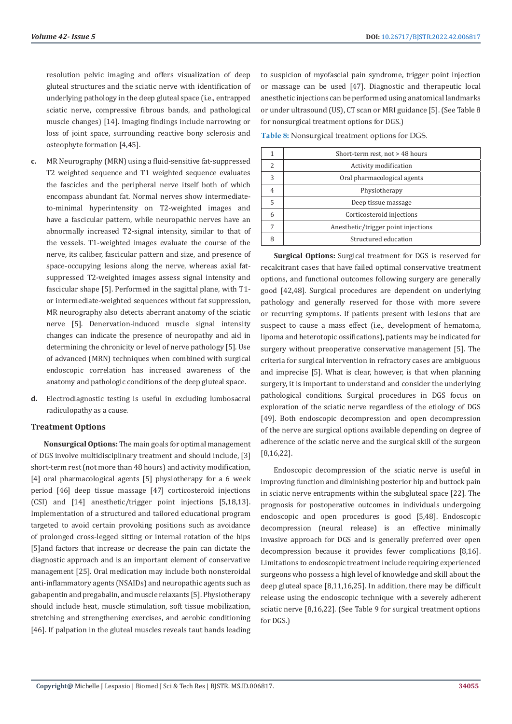resolution pelvic imaging and offers visualization of deep gluteal structures and the sciatic nerve with identification of underlying pathology in the deep gluteal space (i.e., entrapped sciatic nerve, compressive fibrous bands, and pathological muscle changes) [14]. Imaging findings include narrowing or loss of joint space, surrounding reactive bony sclerosis and osteophyte formation [4,45].

- **c.** MR Neurography (MRN) using a fluid-sensitive fat-suppressed T2 weighted sequence and T1 weighted sequence evaluates the fascicles and the peripheral nerve itself both of which encompass abundant fat. Normal nerves show intermediateto-minimal hyperintensity on T2-weighted images and have a fascicular pattern, while neuropathic nerves have an abnormally increased T2-signal intensity, similar to that of the vessels. T1-weighted images evaluate the course of the nerve, its caliber, fascicular pattern and size, and presence of space-occupying lesions along the nerve, whereas axial fatsuppressed T2-weighted images assess signal intensity and fascicular shape [5]. Performed in the sagittal plane, with T1 or intermediate-weighted sequences without fat suppression, MR neurography also detects aberrant anatomy of the sciatic nerve [5]. Denervation-induced muscle signal intensity changes can indicate the presence of neuropathy and aid in determining the chronicity or level of nerve pathology [5]. Use of advanced (MRN) techniques when combined with surgical endoscopic correlation has increased awareness of the anatomy and pathologic conditions of the deep gluteal space.
- **d.** Electrodiagnostic testing is useful in excluding lumbosacral radiculopathy as a cause.

# **Treatment Options**

**Nonsurgical Options:** The main goals for optimal management of DGS involve multidisciplinary treatment and should include, [3] short-term rest (not more than 48 hours) and activity modification, [4] oral pharmacological agents [5] physiotherapy for a 6 week period [46] deep tissue massage [47] corticosteroid injections (CSI) and [14] anesthetic/trigger point injections [5,18,13]. Implementation of a structured and tailored educational program targeted to avoid certain provoking positions such as avoidance of prolonged cross-legged sitting or internal rotation of the hips [5]and factors that increase or decrease the pain can dictate the diagnostic approach and is an important element of conservative management [25]. Oral medication may include both nonsteroidal anti-inflammatory agents (NSAIDs) and neuropathic agents such as gabapentin and pregabalin, and muscle relaxants [5]. Physiotherapy should include heat, muscle stimulation, soft tissue mobilization, stretching and strengthening exercises, and aerobic conditioning [46]. If palpation in the gluteal muscles reveals taut bands leading to suspicion of myofascial pain syndrome, trigger point injection or massage can be used [47]. Diagnostic and therapeutic local anesthetic injections can be performed using anatomical landmarks or under ultrasound (US), CT scan or MRI guidance [5]. (See Table 8 for nonsurgical treatment options for DGS.)

**Table 8:** Nonsurgical treatment options for DGS.

|               | Short-term rest, not > 48 hours     |
|---------------|-------------------------------------|
| $\mathcal{P}$ | Activity modification               |
| 3             | Oral pharmacological agents         |
| 4             | Physiotherapy                       |
| 5             | Deep tissue massage                 |
| 6             | Corticosteroid injections           |
|               | Anesthetic/trigger point injections |
| Զ             | Structured education                |

**Surgical Options:** Surgical treatment for DGS is reserved for recalcitrant cases that have failed optimal conservative treatment options, and functional outcomes following surgery are generally good [42,48]. Surgical procedures are dependent on underlying pathology and generally reserved for those with more severe or recurring symptoms. If patients present with lesions that are suspect to cause a mass effect (i.e., development of hematoma, lipoma and heterotopic ossifications), patients may be indicated for surgery without preoperative conservative management [5]. The criteria for surgical intervention in refractory cases are ambiguous and imprecise [5]. What is clear, however, is that when planning surgery, it is important to understand and consider the underlying pathological conditions. Surgical procedures in DGS focus on exploration of the sciatic nerve regardless of the etiology of DGS [49]. Both endoscopic decompression and open decompression of the nerve are surgical options available depending on degree of adherence of the sciatic nerve and the surgical skill of the surgeon [8,16,22].

Endoscopic decompression of the sciatic nerve is useful in improving function and diminishing posterior hip and buttock pain in sciatic nerve entrapments within the subgluteal space [22]. The prognosis for postoperative outcomes in individuals undergoing endoscopic and open procedures is good [5,48]. Endoscopic decompression (neural release) is an effective minimally invasive approach for DGS and is generally preferred over open decompression because it provides fewer complications [8,16]. Limitations to endoscopic treatment include requiring experienced surgeons who possess a high level of knowledge and skill about the deep gluteal space [8,11,16,25]. In addition, there may be difficult release using the endoscopic technique with a severely adherent sciatic nerve [8,16,22]. (See Table 9 for surgical treatment options for DGS.)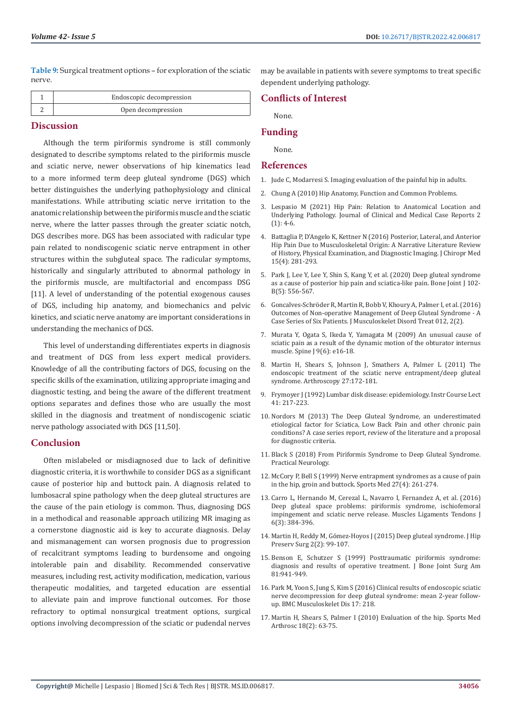**Table 9:** Surgical treatment options – for exploration of the sciatic nerve.

| Endoscopic decompression |
|--------------------------|
| Open decompression       |

# **Discussion**

Although the term piriformis syndrome is still commonly designated to describe symptoms related to the piriformis muscle and sciatic nerve, newer observations of hip kinematics lead to a more informed term deep gluteal syndrome (DGS) which better distinguishes the underlying pathophysiology and clinical manifestations. While attributing sciatic nerve irritation to the anatomic relationship between the piriformis muscle and the sciatic nerve, where the latter passes through the greater sciatic notch, DGS describes more. DGS has been associated with radicular type pain related to nondiscogenic sciatic nerve entrapment in other structures within the subgluteal space. The radicular symptoms, historically and singularly attributed to abnormal pathology in the piriformis muscle, are multifactorial and encompass DSG [11]. A level of understanding of the potential exogenous causes of DGS, including hip anatomy, and biomechanics and pelvic kinetics, and sciatic nerve anatomy are important considerations in understanding the mechanics of DGS.

This level of understanding differentiates experts in diagnosis and treatment of DGS from less expert medical providers. Knowledge of all the contributing factors of DGS, focusing on the specific skills of the examination, utilizing appropriate imaging and diagnostic testing, and being the aware of the different treatment options separates and defines those who are usually the most skilled in the diagnosis and treatment of nondiscogenic sciatic nerve pathology associated with DGS [11,50].

# **Conclusion**

Often mislabeled or misdiagnosed due to lack of definitive diagnostic criteria, it is worthwhile to consider DGS as a significant cause of posterior hip and buttock pain. A diagnosis related to lumbosacral spine pathology when the deep gluteal structures are the cause of the pain etiology is common. Thus, diagnosing DGS in a methodical and reasonable approach utilizing MR imaging as a cornerstone diagnostic aid is key to accurate diagnosis. Delay and mismanagement can worsen prognosis due to progression of recalcitrant symptoms leading to burdensome and ongoing intolerable pain and disability. Recommended conservative measures, including rest, activity modification, medication, various therapeutic modalities, and targeted education are essential to alleviate pain and improve functional outcomes. For those refractory to optimal nonsurgical treatment options, surgical options involving decompression of the sciatic or pudendal nerves may be available in patients with severe symptoms to treat specific dependent underlying pathology.

# **Conflicts of Interest**

None.

#### **Funding**

None.

#### **References**

- 1. Jude C, Modarresi S. Imaging evaluation of the painful hip in adults.
- 2. [Chung A \(2010\) Hip Anatomy, Function and Common Problems.](file:///F:/New%20Journals/BJSTR.MS.ID.006817/BJSTR-ORT-22-RW-280_W/BJSTR-ORT-22-RW-280_W/Chung%20A%20(2010)%20Hip%20Anatomy,%20Function%20and%20Common%20Problems.)
- 3. [Lespasio M \(2021\) Hip Pain: Relation to Anatomical Location and](https://www.sciencerepository.org/review-data?doi=10.31487/j.JCMCR.2021.01.02) [Underlying Pathology. Journal of Clinical and Medical Case Reports 2](https://www.sciencerepository.org/review-data?doi=10.31487/j.JCMCR.2021.01.02) [\(1\): 4-6.](https://www.sciencerepository.org/review-data?doi=10.31487/j.JCMCR.2021.01.02)
- 4. [Battaglia P, D'Angelo K, Kettner N \(2016\) Posterior, Lateral, and Anterior](https://pubmed.ncbi.nlm.nih.gov/27857636/) [Hip Pain Due to Musculoskeletal Origin: A Narrative Literature Review](https://pubmed.ncbi.nlm.nih.gov/27857636/) [of History, Physical Examination, and Diagnostic Imaging.](https://pubmed.ncbi.nlm.nih.gov/27857636/) J Chiropr Med [15\(4\): 281-293.](https://pubmed.ncbi.nlm.nih.gov/27857636/)
- 5. [Park J, Lee Y, Lee Y, Shin S, Kang Y, et al. \(2020\) Deep gluteal syndrome](https://pubmed.ncbi.nlm.nih.gov/32349600/) [as a cause of posterior hip pain and sciatica-like pain. Bone Joint J 102-](https://pubmed.ncbi.nlm.nih.gov/32349600/) [B\(5\): 556-567.](https://pubmed.ncbi.nlm.nih.gov/32349600/)
- 6. [Goncalves-Schröder R, Martin R, Bobb V, Khoury A, Palmer I, et al. \(2016\)](https://clinmedjournals.org/articles/jmdt/journal-of-musculoskeletal-disorders-and-treatment-jmdt-2-012.php?jid=jmdt) [Outcomes of Non-operative Management of Deep Gluteal Syndrome - A](https://clinmedjournals.org/articles/jmdt/journal-of-musculoskeletal-disorders-and-treatment-jmdt-2-012.php?jid=jmdt) [Case Series of Six Patients. J Musculoskelet Disord Treat 012, 2\(2\).](https://clinmedjournals.org/articles/jmdt/journal-of-musculoskeletal-disorders-and-treatment-jmdt-2-012.php?jid=jmdt)
- 7. Murata Y, Ogata S, Ikeda Y, Yamagata M (2009) An unusual cause of sciatic pain as a result of the dynamic motion of the obturator internus muscle. Spine J 9(6): e16-18.
- 8. [Martin H, Shears S, Johnson J, Smathers A, Palmer L \(2011\) The](https://pubmed.ncbi.nlm.nih.gov/21071168/) [endoscopic treatment of the sciatic nerve entrapment/deep gluteal](https://pubmed.ncbi.nlm.nih.gov/21071168/) [syndrome. Arthroscopy 27:172-181.](https://pubmed.ncbi.nlm.nih.gov/21071168/)
- 9. [Frymoyer J \(1992\) Lumbar disk disease: epidemiology. Instr Course Lect](https://pubmed.ncbi.nlm.nih.gov/1534104/) [41: 217-223.](https://pubmed.ncbi.nlm.nih.gov/1534104/)
- 10. [Nordors M \(2013\) The Deep Gluteal Syndrome, an underestimated](https://www.academia.edu/31817194/Title_The_Deep_Gluteal_Syndrome_an_underestimated_etiological_factor_for_Sciatica_Low_Back_Pain_and_other_chronic_pain_conditions_A_case_series_report_review_of_the_literature) [etiological factor for Sciatica, Low Back Pain and other chronic pain](https://www.academia.edu/31817194/Title_The_Deep_Gluteal_Syndrome_an_underestimated_etiological_factor_for_Sciatica_Low_Back_Pain_and_other_chronic_pain_conditions_A_case_series_report_review_of_the_literature) [conditions? A case series report, review of the literature and a proposal](https://www.academia.edu/31817194/Title_The_Deep_Gluteal_Syndrome_an_underestimated_etiological_factor_for_Sciatica_Low_Back_Pain_and_other_chronic_pain_conditions_A_case_series_report_review_of_the_literature) [for diagnostic criteria.](https://www.academia.edu/31817194/Title_The_Deep_Gluteal_Syndrome_an_underestimated_etiological_factor_for_Sciatica_Low_Back_Pain_and_other_chronic_pain_conditions_A_case_series_report_review_of_the_literature)
- 11. [Black S \(2018\) From Piriformis Syndrome to Deep Gluteal Syndrome.](https://practicalneurology.com/articles/2018-sept/from-piriformis-syndrome-to-deep-gluteal-syndrome) [Practical Neurology.](https://practicalneurology.com/articles/2018-sept/from-piriformis-syndrome-to-deep-gluteal-syndrome)
- 12. [McCory P, Bell S \(1999\) Nerve entrapment syndromes as a cause of pain](https://pubmed.ncbi.nlm.nih.gov/10367335/) [in the hip, groin and buttock. Sports Med 27\(4\): 261-274.](https://pubmed.ncbi.nlm.nih.gov/10367335/)
- 13. [Carro L, Hernando M, Cerezal L, Navarro I, Fernandez A, et al. \(2016\)](https://pubmed.ncbi.nlm.nih.gov/28066745/) [Deep gluteal space problems: piriformis syndrome, ischiofemoral](https://pubmed.ncbi.nlm.nih.gov/28066745/) [impingement and sciatic nerve release.](https://pubmed.ncbi.nlm.nih.gov/28066745/) Muscles Ligaments Tendons J [6\(3\): 384-396.](https://pubmed.ncbi.nlm.nih.gov/28066745/)
- 14. [Martin H, Reddy M, Gómez-Hoyos J \(2015\) Deep gluteal syndrome.](https://pubmed.ncbi.nlm.nih.gov/27011826/) J Hip [Preserv Surg 2\(2\): 99-107.](https://pubmed.ncbi.nlm.nih.gov/27011826/)
- 15. [Benson E, Schutzer S \(1999\) Posttraumatic piriformis syndrome:](https://pubmed.ncbi.nlm.nih.gov/10428125/) [diagnosis and results of operative treatment. J Bone Joint Surg Am](https://pubmed.ncbi.nlm.nih.gov/10428125/) [81:941-949.](https://pubmed.ncbi.nlm.nih.gov/10428125/)
- 16. Park M, Yoon S, Jung S, Kim S (2016) Clinical results of endoscopic sciatic nerve decompression for deep gluteal syndrome: mean 2-year followup. BMC Musculoskelet Dis 17: 218.
- 17. [Martin H, Shears S, Palmer I \(2010\) Evaluation of the hip.](https://pubmed.ncbi.nlm.nih.gov/20473124/) Sports Med [Arthrosc 18\(2\): 63-75.](https://pubmed.ncbi.nlm.nih.gov/20473124/)